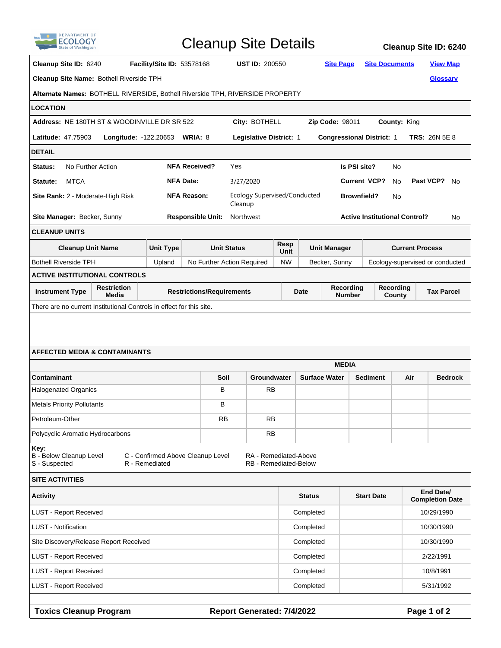| <b>DEPARTMENT OF</b>                                                                                                                                                    |                                                            |                            |                                  | <b>Cleanup Site Details</b>             |                                  |                      |                                    |                                      |                                 | Cleanup Site ID: 6240               |  |  |
|-------------------------------------------------------------------------------------------------------------------------------------------------------------------------|------------------------------------------------------------|----------------------------|----------------------------------|-----------------------------------------|----------------------------------|----------------------|------------------------------------|--------------------------------------|---------------------------------|-------------------------------------|--|--|
| Cleanup Site ID: 6240                                                                                                                                                   |                                                            | Facility/Site ID: 53578168 |                                  | <b>UST ID: 200550</b>                   |                                  |                      | <b>Site Page</b>                   | <b>Site Documents</b>                |                                 | <b>View Map</b>                     |  |  |
| Cleanup Site Name: Bothell Riverside TPH                                                                                                                                |                                                            |                            |                                  |                                         |                                  |                      |                                    |                                      |                                 | <b>Glossary</b>                     |  |  |
| Alternate Names: BOTHELL RIVERSIDE, Bothell Riverside TPH, RIVERSIDE PROPERTY                                                                                           |                                                            |                            |                                  |                                         |                                  |                      |                                    |                                      |                                 |                                     |  |  |
| LOCATION                                                                                                                                                                |                                                            |                            |                                  |                                         |                                  |                      |                                    |                                      |                                 |                                     |  |  |
| Address: NE 180TH ST & WOODINVILLE DR SR 522                                                                                                                            |                                                            |                            |                                  |                                         | City: BOTHELL<br>Zip Code: 98011 |                      |                                    |                                      | County: King                    |                                     |  |  |
|                                                                                                                                                                         | <b>Latitude: 47.75903</b><br>Longitude: -122.20653 WRIA: 8 |                            |                                  | Legislative District: 1                 |                                  |                      | <b>Congressional District: 1</b>   | <b>TRS: 26N 5E 8</b>                 |                                 |                                     |  |  |
| <b>DETAIL</b>                                                                                                                                                           |                                                            |                            |                                  |                                         |                                  |                      |                                    |                                      |                                 |                                     |  |  |
| Status:<br>No Further Action                                                                                                                                            |                                                            |                            | <b>NFA Received?</b>             | Yes                                     |                                  |                      | Is PSI site?<br>No.                |                                      |                                 |                                     |  |  |
| <b>MTCA</b><br>Statute:                                                                                                                                                 |                                                            |                            | <b>NFA Date:</b>                 | 3/27/2020                               |                                  |                      | <b>Current VCP?</b>                | No                                   | Past VCP? No                    |                                     |  |  |
| Site Rank: 2 - Moderate-High Risk                                                                                                                                       |                                                            |                            | <b>NFA Reason:</b>               | Ecology Supervised/Conducted<br>Cleanup |                                  |                      | <b>Brownfield?</b><br>No           |                                      |                                 |                                     |  |  |
| Site Manager: Becker, Sunny                                                                                                                                             |                                                            |                            | <b>Responsible Unit:</b>         | Northwest                               |                                  |                      |                                    | <b>Active Institutional Control?</b> |                                 | No                                  |  |  |
| <b>CLEANUP UNITS</b>                                                                                                                                                    |                                                            |                            |                                  |                                         |                                  |                      |                                    |                                      |                                 |                                     |  |  |
| <b>Cleanup Unit Name</b>                                                                                                                                                |                                                            | <b>Unit Type</b>           |                                  | <b>Unit Status</b>                      | Resp<br>Unit                     |                      | <b>Unit Manager</b>                |                                      | <b>Current Process</b>          |                                     |  |  |
| <b>Bothell Riverside TPH</b>                                                                                                                                            |                                                            | Upland                     |                                  | No Further Action Required              | <b>NW</b>                        |                      | Becker, Sunny                      |                                      | Ecology-supervised or conducted |                                     |  |  |
| <b>ACTIVE INSTITUTIONAL CONTROLS</b>                                                                                                                                    |                                                            |                            |                                  |                                         |                                  |                      |                                    |                                      |                                 |                                     |  |  |
| <b>Instrument Type</b>                                                                                                                                                  | Restriction<br>Media                                       |                            | <b>Restrictions/Requirements</b> |                                         |                                  | <b>Date</b>          | Recording<br><b>Number</b>         |                                      | Recording<br>County             | <b>Tax Parcel</b>                   |  |  |
| There are no current Institutional Controls in effect for this site.                                                                                                    |                                                            |                            |                                  |                                         |                                  |                      |                                    |                                      |                                 |                                     |  |  |
| <b>AFFECTED MEDIA &amp; CONTAMINANTS</b><br><b>MEDIA</b>                                                                                                                |                                                            |                            |                                  |                                         |                                  |                      |                                    |                                      |                                 |                                     |  |  |
| Contaminant                                                                                                                                                             |                                                            |                            | Soil                             | Groundwater                             |                                  | <b>Surface Water</b> |                                    | <b>Sediment</b>                      | Air                             | <b>Bedrock</b>                      |  |  |
| <b>Halogenated Organics</b>                                                                                                                                             |                                                            |                            | В                                | RB                                      |                                  |                      |                                    |                                      |                                 |                                     |  |  |
| <b>Metals Priority Pollutants</b>                                                                                                                                       |                                                            |                            | В                                |                                         |                                  |                      |                                    |                                      |                                 |                                     |  |  |
| Petroleum-Other                                                                                                                                                         |                                                            |                            | RB                               | RB                                      |                                  |                      |                                    |                                      |                                 |                                     |  |  |
| Polycyclic Aromatic Hydrocarbons                                                                                                                                        |                                                            |                            |                                  | RB                                      |                                  |                      |                                    |                                      |                                 |                                     |  |  |
| Key:<br><b>B</b> - Below Cleanup Level<br>C - Confirmed Above Cleanup Level<br>RA - Remediated-Above<br>S - Suspected<br>R - Remediated<br><b>RB</b> - Remediated-Below |                                                            |                            |                                  |                                         |                                  |                      |                                    |                                      |                                 |                                     |  |  |
| <b>SITE ACTIVITIES</b>                                                                                                                                                  |                                                            |                            |                                  |                                         |                                  |                      |                                    |                                      |                                 |                                     |  |  |
| <b>Activity</b>                                                                                                                                                         |                                                            |                            |                                  |                                         |                                  |                      | <b>Status</b><br><b>Start Date</b> |                                      |                                 | End Date/<br><b>Completion Date</b> |  |  |
| <b>LUST - Report Received</b>                                                                                                                                           |                                                            |                            |                                  |                                         | Completed                        |                      |                                    |                                      |                                 | 10/29/1990                          |  |  |
| <b>LUST</b> - Notification                                                                                                                                              |                                                            |                            |                                  |                                         |                                  | Completed            |                                    |                                      | 10/30/1990                      |                                     |  |  |
| Site Discovery/Release Report Received                                                                                                                                  |                                                            |                            |                                  |                                         |                                  | Completed            |                                    |                                      | 10/30/1990                      |                                     |  |  |
| <b>LUST - Report Received</b>                                                                                                                                           |                                                            |                            |                                  |                                         |                                  | Completed            |                                    |                                      | 2/22/1991                       |                                     |  |  |
| <b>LUST - Report Received</b>                                                                                                                                           |                                                            |                            |                                  |                                         |                                  | Completed            |                                    |                                      | 10/8/1991                       |                                     |  |  |
| <b>LUST - Report Received</b>                                                                                                                                           |                                                            |                            |                                  |                                         |                                  | Completed            |                                    |                                      |                                 | 5/31/1992                           |  |  |
| <b>Toxics Cleanup Program</b>                                                                                                                                           |                                                            |                            |                                  | Report Generated: 7/4/2022              |                                  |                      |                                    |                                      |                                 | Page 1 of 2                         |  |  |